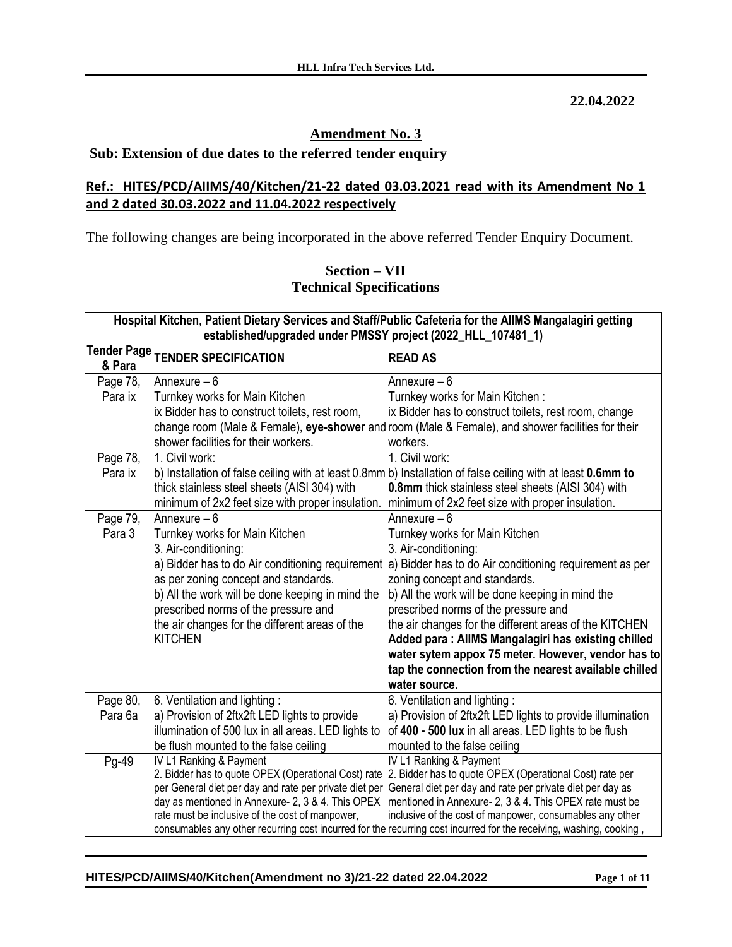**22.04.2022**

# **Amendment No. 3**

## **Sub: Extension of due dates to the referred tender enquiry**

# **Ref.: HITES/PCD/AIIMS/40/Kitchen/21-22 dated 03.03.2021 read with its Amendment No 1 and 2 dated 30.03.2022 and 11.04.2022 respectively**

The following changes are being incorporated in the above referred Tender Enquiry Document.

### **Section – VII Technical Specifications**

|                       | Hospital Kitchen, Patient Dietary Services and Staff/Public Cafeteria for the AllMS Mangalagiri getting<br>established/upgraded under PMSSY project (2022_HLL_107481_1) |                                                                                                                   |  |  |  |  |  |
|-----------------------|-------------------------------------------------------------------------------------------------------------------------------------------------------------------------|-------------------------------------------------------------------------------------------------------------------|--|--|--|--|--|
| Tender Page<br>& Para | <b>TENDER SPECIFICATION</b>                                                                                                                                             | <b>READ AS</b>                                                                                                    |  |  |  |  |  |
| Page 78,              | Annexure - 6                                                                                                                                                            | Annexure - 6                                                                                                      |  |  |  |  |  |
| Para ix               | Turnkey works for Main Kitchen                                                                                                                                          | Turnkey works for Main Kitchen:                                                                                   |  |  |  |  |  |
|                       | ix Bidder has to construct toilets, rest room,                                                                                                                          | ix Bidder has to construct toilets, rest room, change                                                             |  |  |  |  |  |
|                       |                                                                                                                                                                         | change room (Male & Female), eye-shower and room (Male & Female), and shower facilities for their                 |  |  |  |  |  |
|                       | shower facilities for their workers.                                                                                                                                    | workers.                                                                                                          |  |  |  |  |  |
| Page 78,              | 1. Civil work:                                                                                                                                                          | 1. Civil work:                                                                                                    |  |  |  |  |  |
| Para ix               |                                                                                                                                                                         | b) Installation of false ceiling with at least 0.8mm b) Installation of false ceiling with at least 0.6mm to      |  |  |  |  |  |
|                       | thick stainless steel sheets (AISI 304) with                                                                                                                            | 0.8mm thick stainless steel sheets (AISI 304) with                                                                |  |  |  |  |  |
|                       | minimum of 2x2 feet size with proper insulation.                                                                                                                        | minimum of 2x2 feet size with proper insulation.                                                                  |  |  |  |  |  |
| Page 79,              | Annexure $-6$                                                                                                                                                           | Annexure - 6                                                                                                      |  |  |  |  |  |
| Para 3                | Turnkey works for Main Kitchen                                                                                                                                          | Turnkey works for Main Kitchen                                                                                    |  |  |  |  |  |
|                       | 3. Air-conditioning:                                                                                                                                                    | 3. Air-conditioning:                                                                                              |  |  |  |  |  |
|                       |                                                                                                                                                                         | a) Bidder has to do Air conditioning requirement  a) Bidder has to do Air conditioning requirement as per         |  |  |  |  |  |
|                       | as per zoning concept and standards.                                                                                                                                    | zoning concept and standards.                                                                                     |  |  |  |  |  |
|                       | b) All the work will be done keeping in mind the                                                                                                                        | b) All the work will be done keeping in mind the                                                                  |  |  |  |  |  |
|                       | prescribed norms of the pressure and                                                                                                                                    | prescribed norms of the pressure and                                                                              |  |  |  |  |  |
|                       | the air changes for the different areas of the                                                                                                                          | the air changes for the different areas of the KITCHEN                                                            |  |  |  |  |  |
|                       | <b>KITCHEN</b>                                                                                                                                                          | Added para: AllMS Mangalagiri has existing chilled                                                                |  |  |  |  |  |
|                       |                                                                                                                                                                         | water sytem appox 75 meter. However, vendor has to                                                                |  |  |  |  |  |
|                       |                                                                                                                                                                         | tap the connection from the nearest available chilled                                                             |  |  |  |  |  |
|                       |                                                                                                                                                                         | water source.                                                                                                     |  |  |  |  |  |
| Page 80,              | 6. Ventilation and lighting:                                                                                                                                            | 6. Ventilation and lighting:                                                                                      |  |  |  |  |  |
| Para 6a               | a) Provision of 2ftx2ft LED lights to provide                                                                                                                           | a) Provision of 2ftx2ft LED lights to provide illumination                                                        |  |  |  |  |  |
|                       | illumination of 500 lux in all areas. LED lights to                                                                                                                     | of 400 - 500 lux in all areas. LED lights to be flush                                                             |  |  |  |  |  |
|                       | be flush mounted to the false ceiling                                                                                                                                   | mounted to the false ceiling                                                                                      |  |  |  |  |  |
| Pg-49                 | IV L1 Ranking & Payment<br>2. Bidder has to quote OPEX (Operational Cost) rate                                                                                          | IV L1 Ranking & Payment<br>2. Bidder has to quote OPEX (Operational Cost) rate per                                |  |  |  |  |  |
|                       | per General diet per day and rate per private diet per                                                                                                                  | General diet per day and rate per private diet per day as                                                         |  |  |  |  |  |
|                       | day as mentioned in Annexure- 2, 3 & 4. This OPEX                                                                                                                       | mentioned in Annexure- 2, 3 & 4. This OPEX rate must be                                                           |  |  |  |  |  |
|                       | rate must be inclusive of the cost of manpower,                                                                                                                         | inclusive of the cost of manpower, consumables any other                                                          |  |  |  |  |  |
|                       |                                                                                                                                                                         | consumables any other recurring cost incurred for the recurring cost incurred for the receiving, washing, cooking |  |  |  |  |  |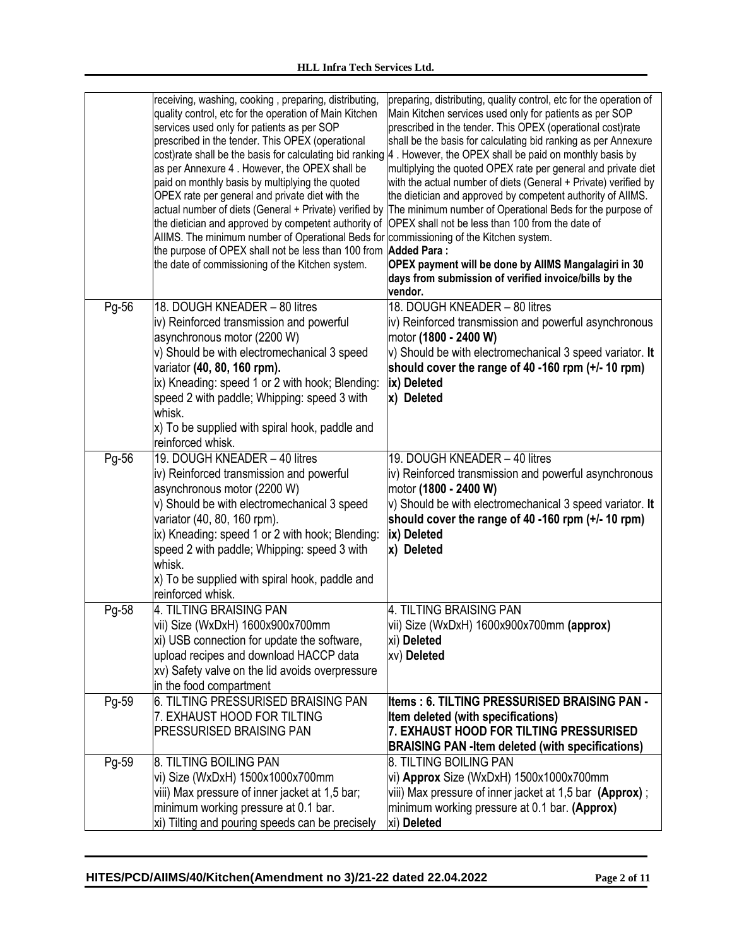|       | receiving, washing, cooking, preparing, distributing,<br>quality control, etc for the operation of Main Kitchen<br>services used only for patients as per SOP<br>prescribed in the tender. This OPEX (operational<br>as per Annexure 4. However, the OPEX shall be<br>paid on monthly basis by multiplying the quoted<br>OPEX rate per general and private diet with the<br>the dietician and approved by competent authority of<br>AIIMS. The minimum number of Operational Beds for commissioning of the Kitchen system.<br>the purpose of OPEX shall not be less than 100 from <b>Added Para:</b><br>the date of commissioning of the Kitchen system. | preparing, distributing, quality control, etc for the operation of<br>Main Kitchen services used only for patients as per SOP<br>prescribed in the tender. This OPEX (operational cost)rate<br>shall be the basis for calculating bid ranking as per Annexure<br>cost)rate shall be the basis for calculating bid ranking  4. However, the OPEX shall be paid on monthly basis by<br>multiplying the quoted OPEX rate per general and private diet<br>with the actual number of diets (General + Private) verified by<br>the dietician and approved by competent authority of AIIMS.<br>actual number of diets (General + Private) verified by The minimum number of Operational Beds for the purpose of<br>OPEX shall not be less than 100 from the date of<br>OPEX payment will be done by AllMS Mangalagiri in 30<br>days from submission of verified invoice/bills by the<br>vendor. |
|-------|----------------------------------------------------------------------------------------------------------------------------------------------------------------------------------------------------------------------------------------------------------------------------------------------------------------------------------------------------------------------------------------------------------------------------------------------------------------------------------------------------------------------------------------------------------------------------------------------------------------------------------------------------------|------------------------------------------------------------------------------------------------------------------------------------------------------------------------------------------------------------------------------------------------------------------------------------------------------------------------------------------------------------------------------------------------------------------------------------------------------------------------------------------------------------------------------------------------------------------------------------------------------------------------------------------------------------------------------------------------------------------------------------------------------------------------------------------------------------------------------------------------------------------------------------------|
| Pg-56 | 18. DOUGH KNEADER - 80 litres<br>iv) Reinforced transmission and powerful<br>asynchronous motor (2200 W)<br>v) Should be with electromechanical 3 speed<br>variator (40, 80, 160 rpm).<br>ix) Kneading: speed 1 or 2 with hook; Blending:<br>speed 2 with paddle; Whipping: speed 3 with<br>whisk.<br>x) To be supplied with spiral hook, paddle and<br>reinforced whisk.                                                                                                                                                                                                                                                                                | 18. DOUGH KNEADER - 80 litres<br>iv) Reinforced transmission and powerful asynchronous<br>motor (1800 - 2400 W)<br>$ v\rangle$ Should be with electromechanical 3 speed variator. It<br>should cover the range of 40 -160 rpm (+/- 10 rpm)<br>ix) Deleted<br>x) Deleted                                                                                                                                                                                                                                                                                                                                                                                                                                                                                                                                                                                                                  |
| Pg-56 | 19. DOUGH KNEADER - 40 litres<br>iv) Reinforced transmission and powerful<br>asynchronous motor (2200 W)<br>v) Should be with electromechanical 3 speed<br>variator (40, 80, 160 rpm).<br>ix) Kneading: speed 1 or 2 with hook; Blending:<br>speed 2 with paddle; Whipping: speed 3 with<br>whisk.<br>x) To be supplied with spiral hook, paddle and<br>reinforced whisk.                                                                                                                                                                                                                                                                                | 19. DOUGH KNEADER - 40 litres<br>iv) Reinforced transmission and powerful asynchronous<br>motor (1800 - 2400 W)<br>$ v\rangle$ Should be with electromechanical 3 speed variator. It<br>should cover the range of 40 -160 rpm (+/- 10 rpm)<br>ix) Deleted<br>x) Deleted                                                                                                                                                                                                                                                                                                                                                                                                                                                                                                                                                                                                                  |
| Pg-58 | 4. TILTING BRAISING PAN<br>vii) Size (WxDxH) 1600x900x700mm<br>xi) USB connection for update the software,<br>upload recipes and download HACCP data<br>xv) Safety valve on the lid avoids overpressure<br>in the food compartment                                                                                                                                                                                                                                                                                                                                                                                                                       | 4. TILTING BRAISING PAN<br>vii) Size (WxDxH) 1600x900x700mm (approx)<br>xi) Deleted<br>xv) Deleted                                                                                                                                                                                                                                                                                                                                                                                                                                                                                                                                                                                                                                                                                                                                                                                       |
| Pg-59 | <b>6. TILTING PRESSURISED BRAISING PAN</b><br>7. EXHAUST HOOD FOR TILTING<br>PRESSURISED BRAISING PAN                                                                                                                                                                                                                                                                                                                                                                                                                                                                                                                                                    | litems : 6. TILTING PRESSURISED BRAISING PAN -<br>Item deleted (with specifications)<br>7. EXHAUST HOOD FOR TILTING PRESSURISED<br><b>BRAISING PAN - Item deleted (with specifications)</b>                                                                                                                                                                                                                                                                                                                                                                                                                                                                                                                                                                                                                                                                                              |
| Pg-59 | 8. TILTING BOILING PAN<br>vi) Size (WxDxH) 1500x1000x700mm<br>viii) Max pressure of inner jacket at 1,5 bar;<br>minimum working pressure at 0.1 bar.<br>xi) Tilting and pouring speeds can be precisely                                                                                                                                                                                                                                                                                                                                                                                                                                                  | <b>8. TILTING BOILING PAN</b><br>vi) Approx Size (WxDxH) 1500x1000x700mm<br>viii) Max pressure of inner jacket at 1,5 bar (Approx);<br>minimum working pressure at 0.1 bar. (Approx)<br>xi) Deleted                                                                                                                                                                                                                                                                                                                                                                                                                                                                                                                                                                                                                                                                                      |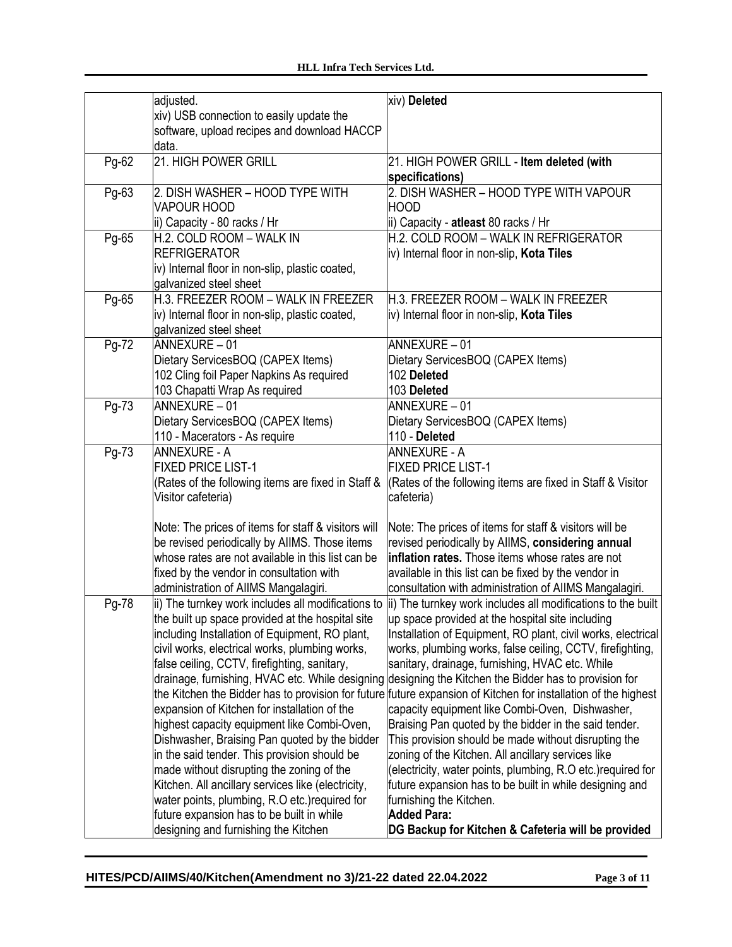|       | adjusted.                                                                                     | xiv) Deleted                                                                                                     |
|-------|-----------------------------------------------------------------------------------------------|------------------------------------------------------------------------------------------------------------------|
|       | xiv) USB connection to easily update the                                                      |                                                                                                                  |
|       | software, upload recipes and download HACCP                                                   |                                                                                                                  |
|       | data.                                                                                         |                                                                                                                  |
| Pg-62 | 21. HIGH POWER GRILL                                                                          | 21. HIGH POWER GRILL - Item deleted (with<br>specifications)                                                     |
| Pg-63 | 2. DISH WASHER - HOOD TYPE WITH                                                               | 2. DISH WASHER - HOOD TYPE WITH VAPOUR                                                                           |
|       | <b>VAPOUR HOOD</b>                                                                            | <b>HOOD</b>                                                                                                      |
|       | ii) Capacity - 80 racks / Hr                                                                  | ii) Capacity - atleast 80 racks / Hr                                                                             |
| Pg-65 | H.2. COLD ROOM - WALK IN                                                                      | H.2. COLD ROOM - WALK IN REFRIGERATOR                                                                            |
|       | <b>REFRIGERATOR</b>                                                                           | iv) Internal floor in non-slip, Kota Tiles                                                                       |
|       | iv) Internal floor in non-slip, plastic coated,                                               |                                                                                                                  |
|       | galvanized steel sheet                                                                        |                                                                                                                  |
| Pg-65 | H.3. FREEZER ROOM - WALK IN FREEZER                                                           | H.3. FREEZER ROOM - WALK IN FREEZER                                                                              |
|       | iv) Internal floor in non-slip, plastic coated,                                               | iv) Internal floor in non-slip, Kota Tiles                                                                       |
|       | galvanized steel sheet<br>ANNEXURE - 01                                                       | ANNEXURE-01                                                                                                      |
| Pg-72 |                                                                                               |                                                                                                                  |
|       | Dietary ServicesBOQ (CAPEX Items)<br>102 Cling foil Paper Napkins As required                 | Dietary ServicesBOQ (CAPEX Items)<br>102 Deleted                                                                 |
|       | 103 Chapatti Wrap As required                                                                 | 103 Deleted                                                                                                      |
| Pg-73 | ANNEXURE - 01                                                                                 | ANNEXURE-01                                                                                                      |
|       | Dietary ServicesBOQ (CAPEX Items)                                                             | Dietary ServicesBOQ (CAPEX Items)                                                                                |
|       | 110 - Macerators - As require                                                                 | 110 - Deleted                                                                                                    |
| Pg-73 | <b>ANNEXURE - A</b>                                                                           | <b>ANNEXURE - A</b>                                                                                              |
|       | <b>FIXED PRICE LIST-1</b>                                                                     | <b>FIXED PRICE LIST-1</b>                                                                                        |
|       | (Rates of the following items are fixed in Staff &                                            | (Rates of the following items are fixed in Staff & Visitor                                                       |
|       | Visitor cafeteria)                                                                            | cafeteria)                                                                                                       |
|       | Note: The prices of items for staff & visitors will                                           | Note: The prices of items for staff & visitors will be                                                           |
|       | be revised periodically by AllMS. Those items                                                 | revised periodically by AllMS, considering annual                                                                |
|       | whose rates are not available in this list can be                                             | inflation rates. Those items whose rates are not                                                                 |
|       | fixed by the vendor in consultation with                                                      | available in this list can be fixed by the vendor in                                                             |
|       | administration of AIIMS Mangalagiri.                                                          | consultation with administration of AIIMS Mangalagiri.                                                           |
| Pg-78 |                                                                                               | ii) The turnkey work includes all modifications to (ii) The turnkey work includes all modifications to the built |
|       | the built up space provided at the hospital site                                              | up space provided at the hospital site including                                                                 |
|       | including Installation of Equipment, RO plant,                                                | Installation of Equipment, RO plant, civil works, electrical                                                     |
|       | civil works, electrical works, plumbing works,                                                | works, plumbing works, false ceiling, CCTV, firefighting,                                                        |
|       | false ceiling, CCTV, firefighting, sanitary,                                                  | sanitary, drainage, furnishing, HVAC etc. While                                                                  |
|       |                                                                                               | drainage, furnishing, HVAC etc. While designing designing the Kitchen the Bidder has to provision for            |
|       |                                                                                               | the Kitchen the Bidder has to provision for future future expansion of Kitchen for installation of the highest   |
|       | expansion of Kitchen for installation of the<br>highest capacity equipment like Combi-Oven,   | capacity equipment like Combi-Oven, Dishwasher,<br>Braising Pan quoted by the bidder in the said tender.         |
|       |                                                                                               |                                                                                                                  |
|       | Dishwasher, Braising Pan quoted by the bidder<br>in the said tender. This provision should be | This provision should be made without disrupting the<br>zoning of the Kitchen. All ancillary services like       |
|       | made without disrupting the zoning of the                                                     | (electricity, water points, plumbing, R.O etc.) required for                                                     |
|       | Kitchen. All ancillary services like (electricity,                                            | future expansion has to be built in while designing and                                                          |
|       | water points, plumbing, R.O etc.) required for                                                | furnishing the Kitchen.                                                                                          |
|       | future expansion has to be built in while                                                     | <b>Added Para:</b>                                                                                               |
|       | designing and furnishing the Kitchen                                                          | DG Backup for Kitchen & Cafeteria will be provided                                                               |
|       |                                                                                               |                                                                                                                  |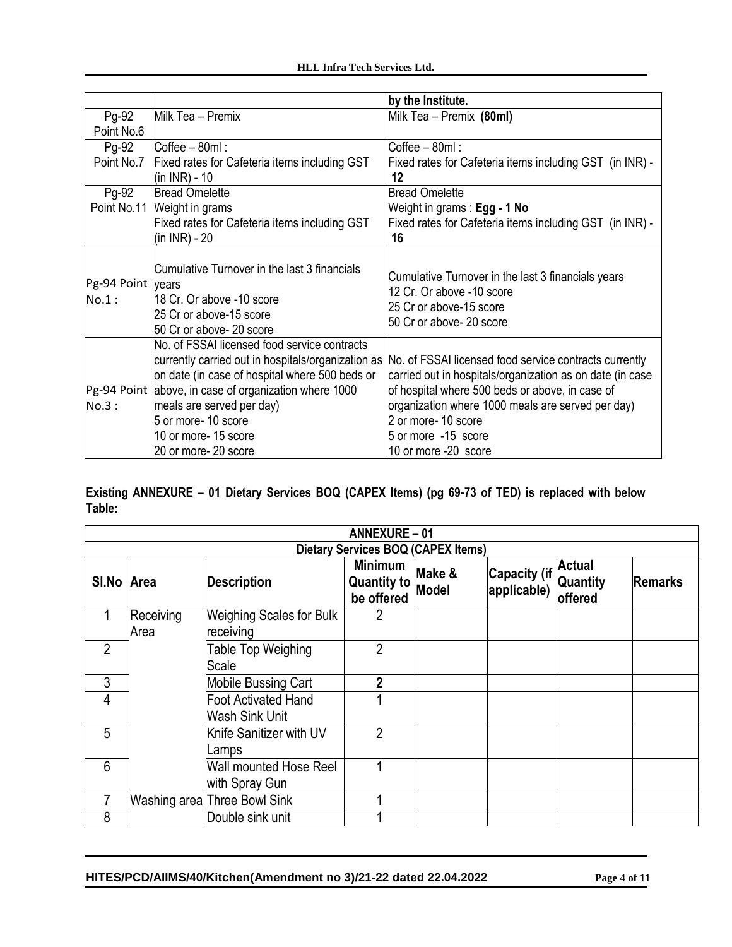|                            |                                                                                                                                                                                                                                                                                                                   | by the Institute.                                                                                                                                                                                                                                                                                 |
|----------------------------|-------------------------------------------------------------------------------------------------------------------------------------------------------------------------------------------------------------------------------------------------------------------------------------------------------------------|---------------------------------------------------------------------------------------------------------------------------------------------------------------------------------------------------------------------------------------------------------------------------------------------------|
| Pg-92                      | Milk Tea - Premix                                                                                                                                                                                                                                                                                                 | Milk Tea - Premix (80ml)                                                                                                                                                                                                                                                                          |
| Point No.6                 |                                                                                                                                                                                                                                                                                                                   |                                                                                                                                                                                                                                                                                                   |
| Pg-92                      | Coffee - 80ml:                                                                                                                                                                                                                                                                                                    | Coffee - 80ml:                                                                                                                                                                                                                                                                                    |
| Point No.7                 | Fixed rates for Cafeteria items including GST                                                                                                                                                                                                                                                                     | Fixed rates for Cafeteria items including GST (in INR) -                                                                                                                                                                                                                                          |
|                            | (in INR) - 10                                                                                                                                                                                                                                                                                                     | 12                                                                                                                                                                                                                                                                                                |
| Pg-92                      | <b>Bread Omelette</b>                                                                                                                                                                                                                                                                                             | <b>Bread Omelette</b>                                                                                                                                                                                                                                                                             |
|                            | Point No.11 Weight in grams                                                                                                                                                                                                                                                                                       | Weight in grams: Egg - 1 No                                                                                                                                                                                                                                                                       |
|                            | Fixed rates for Cafeteria items including GST                                                                                                                                                                                                                                                                     | Fixed rates for Cafeteria items including GST (in INR) -                                                                                                                                                                                                                                          |
|                            | (in INR) - 20                                                                                                                                                                                                                                                                                                     | 16                                                                                                                                                                                                                                                                                                |
| Pg-94 Point years<br>No.1: | Cumulative Turnover in the last 3 financials<br>118 Cr. Or above -10 score<br>25 Cr or above-15 score<br>50 Cr or above- 20 score                                                                                                                                                                                 | Cumulative Turnover in the last 3 financials years<br>12 Cr. Or above -10 score<br>25 Cr or above-15 score<br>50 Cr or above- 20 score                                                                                                                                                            |
| No.3:                      | No. of FSSAI licensed food service contracts<br>currently carried out in hospitals/organization as<br>on date (in case of hospital where 500 beds or<br>Pg-94 Point above, in case of organization where 1000<br>meals are served per day)<br>5 or more- 10 score<br>10 or more- 15 score<br>20 or more- 20 score | No. of FSSAI licensed food service contracts currently<br>carried out in hospitals/organization as on date (in case<br>of hospital where 500 beds or above, in case of<br>organization where 1000 meals are served per day)<br>2 or more- 10 score<br>5 or more -15 score<br>10 or more -20 score |

**Existing ANNEXURE – 01 Dietary Services BOQ (CAPEX Items) (pg 69-73 of TED) is replaced with below Table:**

| <b>ANNEXURE-01</b> |                   |                                              |                                                    |                 |                             |                                             |                |
|--------------------|-------------------|----------------------------------------------|----------------------------------------------------|-----------------|-----------------------------|---------------------------------------------|----------------|
|                    |                   |                                              | <b>Dietary Services BOQ (CAPEX Items)</b>          |                 |                             |                                             |                |
| SI.No Area         |                   | <b>Description</b>                           | <b>Minimum</b><br><b>Quantity to</b><br>be offered | Make &<br>Model | Capacity (if<br>applicable) | <b>Actual</b><br><b>Quantity</b><br>offered | <b>Remarks</b> |
| 1                  | Receiving<br>Area | <b>Weighing Scales for Bulk</b><br>receiving | $\overline{2}$                                     |                 |                             |                                             |                |
| $\overline{2}$     |                   | Table Top Weighing<br>Scale                  | 2                                                  |                 |                             |                                             |                |
| 3                  |                   | <b>Mobile Bussing Cart</b>                   | 2                                                  |                 |                             |                                             |                |
| 4                  |                   | <b>Foot Activated Hand</b><br>Wash Sink Unit |                                                    |                 |                             |                                             |                |
| 5                  |                   | Knife Sanitizer with UV<br>Lamps             | $\overline{2}$                                     |                 |                             |                                             |                |
| 6                  |                   | Wall mounted Hose Reel<br>with Spray Gun     |                                                    |                 |                             |                                             |                |
|                    |                   | Washing area Three Bowl Sink                 |                                                    |                 |                             |                                             |                |
| 8                  |                   | Double sink unit                             |                                                    |                 |                             |                                             |                |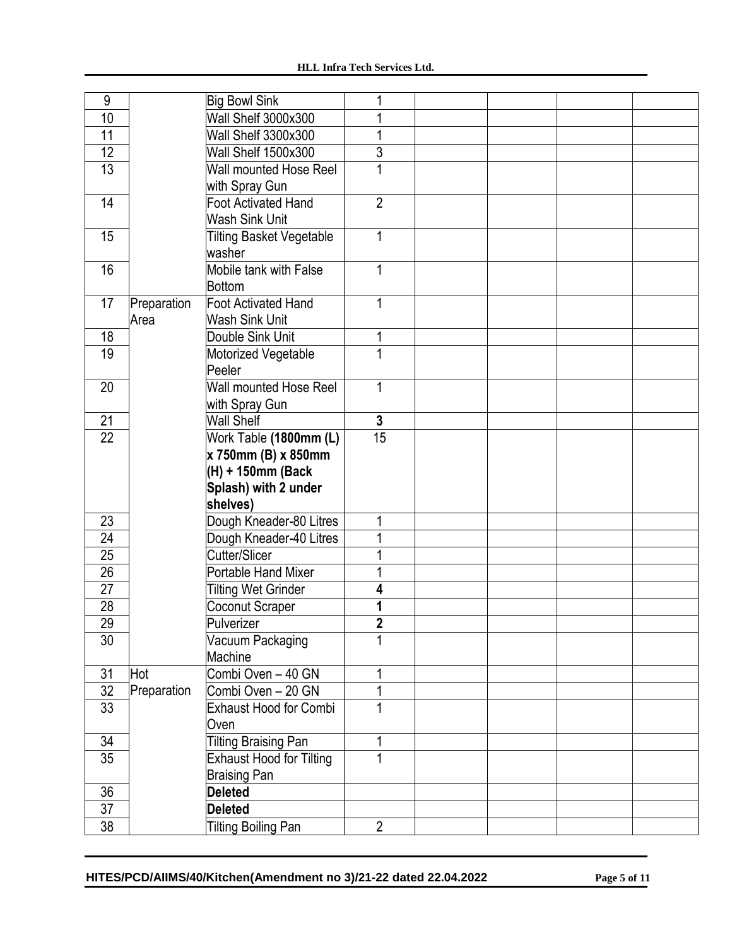| 9               |             | <b>Big Bowl Sink</b>            |                 |  |  |
|-----------------|-------------|---------------------------------|-----------------|--|--|
| 10              |             | Wall Shelf 3000x300             |                 |  |  |
| 11              |             | Wall Shelf 3300x300             |                 |  |  |
| 12              |             | Wall Shelf 1500x300             | 3               |  |  |
| 13              |             | Wall mounted Hose Reel          | 1               |  |  |
|                 |             | with Spray Gun                  |                 |  |  |
| 14              |             | <b>Foot Activated Hand</b>      | $\overline{2}$  |  |  |
|                 |             | <b>Wash Sink Unit</b>           |                 |  |  |
| 15              |             | <b>Tilting Basket Vegetable</b> | 1               |  |  |
|                 |             | washer                          |                 |  |  |
| 16              |             | Mobile tank with False          | 1               |  |  |
|                 |             | <b>Bottom</b>                   |                 |  |  |
| 17              | Preparation | <b>Foot Activated Hand</b>      |                 |  |  |
|                 | Area        | <b>Wash Sink Unit</b>           |                 |  |  |
| 18              |             | Double Sink Unit                |                 |  |  |
| 19              |             | Motorized Vegetable             |                 |  |  |
|                 |             | Peeler                          |                 |  |  |
| 20              |             | Wall mounted Hose Reel          | 1               |  |  |
|                 |             | with Spray Gun                  |                 |  |  |
| 21              |             | <b>Wall Shelf</b>               | $\mathbf{3}$    |  |  |
| $\overline{22}$ |             | Work Table (1800mm (L)          | $\overline{15}$ |  |  |
|                 |             | x 750mm (B) x 850mm             |                 |  |  |
|                 |             | (H) + 150mm (Back               |                 |  |  |
|                 |             | Splash) with 2 under            |                 |  |  |
|                 |             | shelves)                        |                 |  |  |
| 23              |             | Dough Kneader-80 Litres         | 1               |  |  |
| $\overline{24}$ |             | Dough Kneader-40 Litres         |                 |  |  |
| $\overline{25}$ |             | Cutter/Slicer                   |                 |  |  |
| 26              |             | <b>Portable Hand Mixer</b>      |                 |  |  |
| $\overline{27}$ |             | <b>Tilting Wet Grinder</b>      | 4               |  |  |
| $\overline{28}$ |             | Coconut Scraper                 |                 |  |  |
| $\overline{29}$ |             | Pulverizer                      | 2               |  |  |
| 30              |             | Vacuum Packaging                |                 |  |  |
|                 |             | Machine                         |                 |  |  |
| 31              | Hot         | Combi Oven - 40 GN              | 1               |  |  |
| 32              | Preparation | Combi Oven - 20 GN              |                 |  |  |
| 33              |             | <b>Exhaust Hood for Combi</b>   | 1               |  |  |
|                 |             | Oven                            |                 |  |  |
| 34              |             | <b>Tilting Braising Pan</b>     | 1               |  |  |
| $\overline{35}$ |             | <b>Exhaust Hood for Tilting</b> |                 |  |  |
|                 |             | <b>Braising Pan</b>             |                 |  |  |
| 36              |             | <b>Deleted</b>                  |                 |  |  |
| $\overline{37}$ |             | <b>Deleted</b>                  |                 |  |  |
| $\overline{38}$ |             | <b>Tilting Boiling Pan</b>      | $\overline{2}$  |  |  |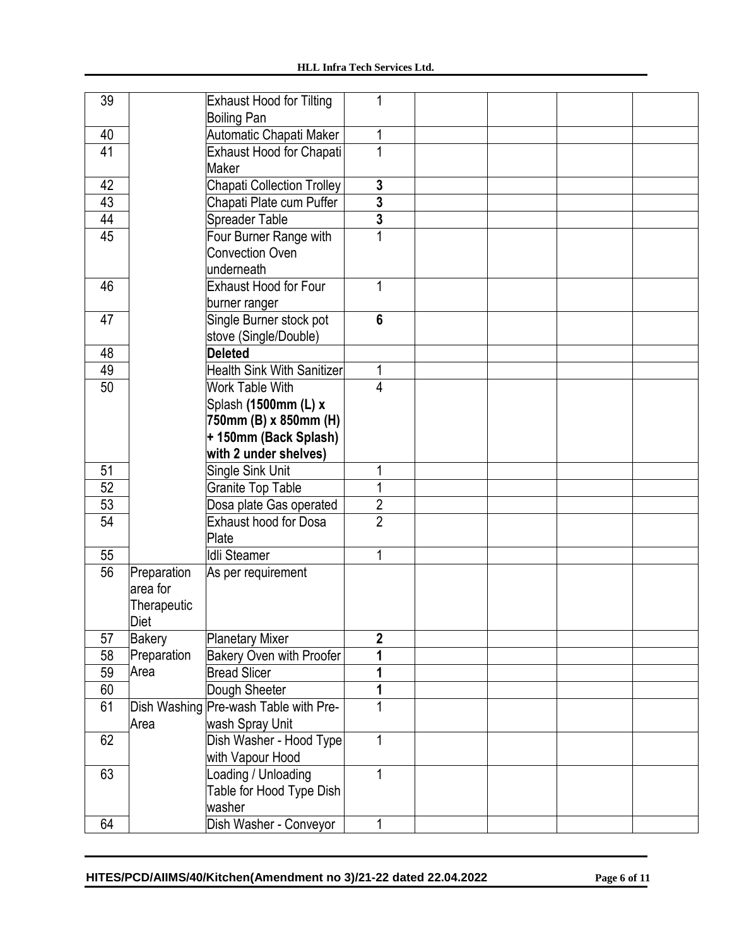| 39              |               | <b>Exhaust Hood for Tilting</b>       |                |  |  |
|-----------------|---------------|---------------------------------------|----------------|--|--|
|                 |               | <b>Boiling Pan</b>                    |                |  |  |
| 40              |               | Automatic Chapati Maker               | 1              |  |  |
| $\overline{41}$ |               | Exhaust Hood for Chapati              |                |  |  |
|                 |               | Maker                                 |                |  |  |
| 42              |               | Chapati Collection Trolley            | $\mathbf 3$    |  |  |
| 43              |               | Chapati Plate cum Puffer              | $\overline{3}$ |  |  |
| 44              |               | Spreader Table                        | $\overline{3}$ |  |  |
| 45              |               | Four Burner Range with                |                |  |  |
|                 |               | <b>Convection Oven</b>                |                |  |  |
|                 |               | underneath                            |                |  |  |
| 46              |               | Exhaust Hood for Four                 | 1              |  |  |
|                 |               | burner ranger                         |                |  |  |
| 47              |               | Single Burner stock pot               | $6\phantom{1}$ |  |  |
|                 |               | stove (Single/Double)                 |                |  |  |
| 48              |               | <b>Deleted</b>                        |                |  |  |
| 49              |               | <b>Health Sink With Sanitizer</b>     | 1              |  |  |
| 50              |               | Work Table With                       | 4              |  |  |
|                 |               | Splash (1500mm (L) x                  |                |  |  |
|                 |               | 750mm (B) x 850mm (H)                 |                |  |  |
|                 |               | + 150mm (Back Splash)                 |                |  |  |
|                 |               | with 2 under shelves)                 |                |  |  |
| 51              |               | Single Sink Unit                      |                |  |  |
| 52              |               | <b>Granite Top Table</b>              |                |  |  |
| 53              |               | Dosa plate Gas operated               | $\overline{2}$ |  |  |
| 54              |               | <b>Exhaust hood for Dosa</b>          | $\overline{2}$ |  |  |
|                 |               | Plate                                 |                |  |  |
| 55              |               | <b>Idli Steamer</b>                   | 1              |  |  |
| 56              | Preparation   | As per requirement                    |                |  |  |
|                 | area for      |                                       |                |  |  |
|                 | Therapeutic   |                                       |                |  |  |
|                 | Diet          |                                       |                |  |  |
| 57              | <b>Bakery</b> | <b>Planetary Mixer</b>                | $\overline{2}$ |  |  |
| 58              | Preparation   | Bakery Oven with Proofer              |                |  |  |
| 59              | Area          | <b>Bread Slicer</b>                   |                |  |  |
| 60              |               | Dough Sheeter                         |                |  |  |
| 61              |               | Dish Washing Pre-wash Table with Pre- |                |  |  |
|                 | Area          | wash Spray Unit                       |                |  |  |
| 62              |               | Dish Washer - Hood Type               |                |  |  |
|                 |               | with Vapour Hood                      |                |  |  |
| 63              |               | Loading / Unloading                   | 1              |  |  |
|                 |               | Table for Hood Type Dish              |                |  |  |
|                 |               | washer                                |                |  |  |
| 64              |               | Dish Washer - Conveyor                | 1              |  |  |
|                 |               |                                       |                |  |  |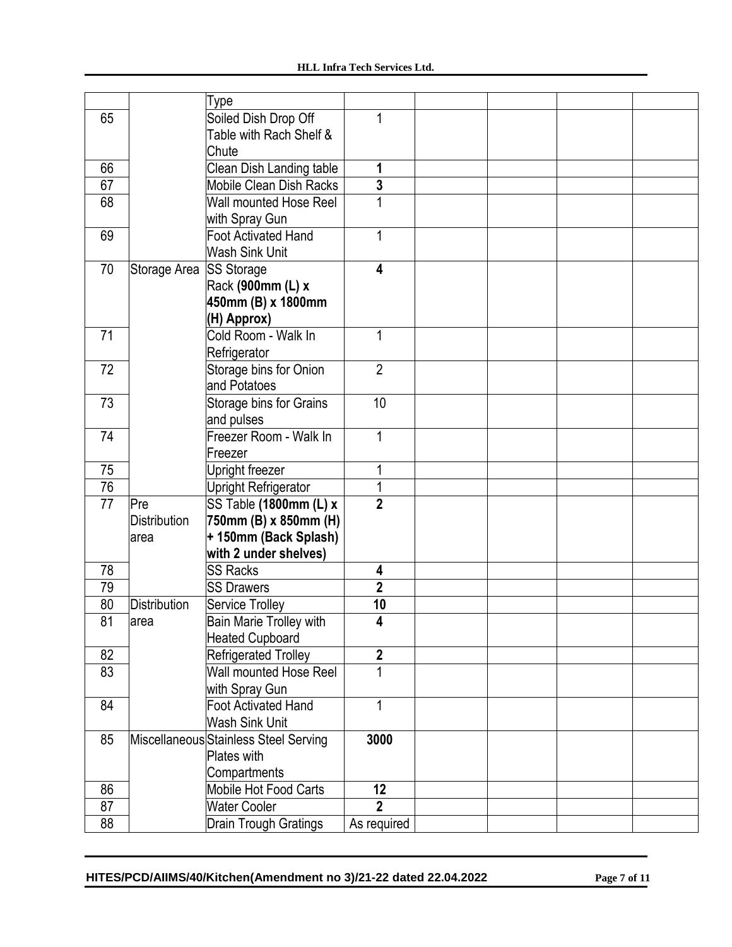|    |                     | Type                                  |                         |  |  |
|----|---------------------|---------------------------------------|-------------------------|--|--|
| 65 |                     | Soiled Dish Drop Off                  |                         |  |  |
|    |                     | Table with Rach Shelf &               |                         |  |  |
|    |                     | Chute                                 |                         |  |  |
| 66 |                     | Clean Dish Landing table              | 1                       |  |  |
| 67 |                     | <b>Mobile Clean Dish Racks</b>        | $\overline{\mathbf{3}}$ |  |  |
| 68 |                     | Wall mounted Hose Reel                |                         |  |  |
|    |                     | with Spray Gun                        |                         |  |  |
| 69 |                     | <b>Foot Activated Hand</b>            | 1                       |  |  |
|    |                     | <b>Wash Sink Unit</b>                 |                         |  |  |
| 70 | Storage Area        | <b>SS Storage</b>                     | 4                       |  |  |
|    |                     | Rack (900mm (L) x                     |                         |  |  |
|    |                     | 450mm (B) x 1800mm                    |                         |  |  |
|    |                     | (H) Approx)                           |                         |  |  |
| 71 |                     | Cold Room - Walk In                   | 1                       |  |  |
|    |                     | Refrigerator                          |                         |  |  |
| 72 |                     | Storage bins for Onion                | $\overline{2}$          |  |  |
|    |                     | and Potatoes                          |                         |  |  |
| 73 |                     | Storage bins for Grains               | 10                      |  |  |
|    |                     | and pulses                            |                         |  |  |
| 74 |                     | Freezer Room - Walk In                | 1                       |  |  |
|    |                     | Freezer                               |                         |  |  |
| 75 |                     | Upright freezer                       |                         |  |  |
| 76 |                     | Upright Refrigerator                  |                         |  |  |
| 77 | Pre                 | SS Table (1800mm (L) x                | $\overline{2}$          |  |  |
|    | <b>Distribution</b> | 750mm (B) x 850mm (H)                 |                         |  |  |
|    | area                | + 150mm (Back Splash)                 |                         |  |  |
|    |                     | with 2 under shelves)                 |                         |  |  |
| 78 |                     | <b>SS Racks</b>                       | 4                       |  |  |
| 79 |                     | <b>SS Drawers</b>                     | $\overline{2}$          |  |  |
| 80 | <b>Distribution</b> | Service Trolley                       | 10                      |  |  |
| 81 | area                | Bain Marie Trolley with               | Δ                       |  |  |
|    |                     | <b>Heated Cupboard</b>                |                         |  |  |
| 82 |                     | <b>Refrigerated Trolley</b>           | $\overline{\mathbf{2}}$ |  |  |
| 83 |                     | Wall mounted Hose Reel                | 1                       |  |  |
|    |                     | with Spray Gun                        |                         |  |  |
| 84 |                     | <b>Foot Activated Hand</b>            |                         |  |  |
|    |                     | Wash Sink Unit                        |                         |  |  |
| 85 |                     | Miscellaneous Stainless Steel Serving | 3000                    |  |  |
|    |                     | Plates with                           |                         |  |  |
|    |                     | Compartments                          |                         |  |  |
| 86 |                     | Mobile Hot Food Carts                 | 12                      |  |  |
| 87 |                     | <b>Water Cooler</b>                   | $\overline{2}$          |  |  |
| 88 |                     | <b>Drain Trough Gratings</b>          | As required             |  |  |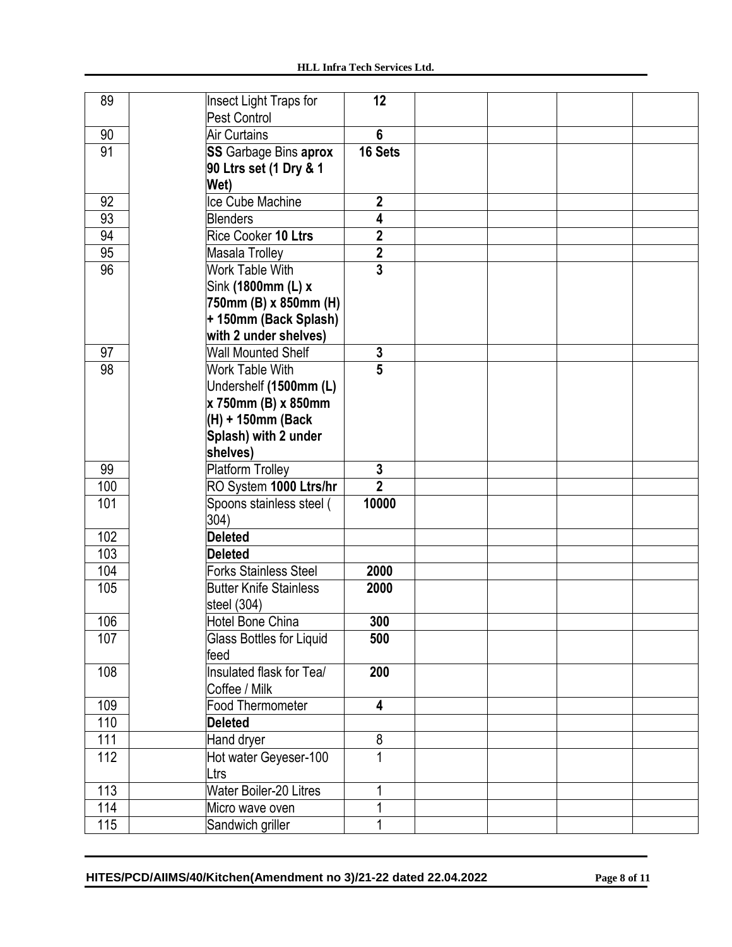| 89               | Insect Light Traps for<br>Pest Control | 12                      |  |  |
|------------------|----------------------------------------|-------------------------|--|--|
| 90               | <b>Air Curtains</b>                    | $6\phantom{1}$          |  |  |
| 91               |                                        | 16 Sets                 |  |  |
|                  | <b>SS</b> Garbage Bins aprox           |                         |  |  |
|                  | 90 Ltrs set (1 Dry & 1                 |                         |  |  |
|                  | Wet)                                   |                         |  |  |
| 92               | Ice Cube Machine                       | $\mathbf{2}$            |  |  |
| 93               | <b>Blenders</b>                        | 4                       |  |  |
| 94               | Rice Cooker 10 Ltrs                    | $\overline{2}$          |  |  |
| 95               | Masala Trolley                         | $\overline{\mathbf{2}}$ |  |  |
| 96               | Work Table With                        | $\overline{3}$          |  |  |
|                  | Sink (1800mm (L) x                     |                         |  |  |
|                  | 750mm (B) x 850mm (H)                  |                         |  |  |
|                  | +150mm (Back Splash)                   |                         |  |  |
|                  | with 2 under shelves)                  |                         |  |  |
| 97               | <b>Wall Mounted Shelf</b>              | $\mathbf 3$             |  |  |
| 98               | <b>Work Table With</b>                 | $\overline{5}$          |  |  |
|                  | Undershelf (1500mm (L)                 |                         |  |  |
|                  | x 750mm (B) x 850mm                    |                         |  |  |
|                  | (H) + 150mm (Back                      |                         |  |  |
|                  | Splash) with 2 under                   |                         |  |  |
|                  | shelves)                               |                         |  |  |
| 99               | <b>Platform Trolley</b>                | $\mathbf{3}$            |  |  |
| 100              | RO System 1000 Ltrs/hr                 | $\overline{2}$          |  |  |
| 101              | Spoons stainless steel (               | 10000                   |  |  |
|                  | 304)                                   |                         |  |  |
| 102              | <b>Deleted</b>                         |                         |  |  |
| 103              | <b>Deleted</b>                         |                         |  |  |
| 104              | <b>Forks Stainless Steel</b>           | 2000                    |  |  |
| 105              | <b>Butter Knife Stainless</b>          | 2000                    |  |  |
|                  | steel (304)                            |                         |  |  |
| 106              | Hotel Bone China                       | 300                     |  |  |
| 107              | Glass Bottles for Liquid               | 500                     |  |  |
|                  | feed                                   |                         |  |  |
| 108              | Insulated flask for Tea/               | 200                     |  |  |
|                  | Coffee / Milk                          |                         |  |  |
| 109              | Food Thermometer                       | 4                       |  |  |
| 110              | <b>Deleted</b>                         |                         |  |  |
| 111              | Hand dryer                             | $\infty$                |  |  |
| 112              | Hot water Geyeser-100                  | $\mathbf 1$             |  |  |
|                  | Ltrs                                   |                         |  |  |
| 113              | <b>Water Boiler-20 Litres</b>          |                         |  |  |
| 114              | Micro wave oven                        |                         |  |  |
| $\overline{115}$ | Sandwich griller                       |                         |  |  |
|                  |                                        |                         |  |  |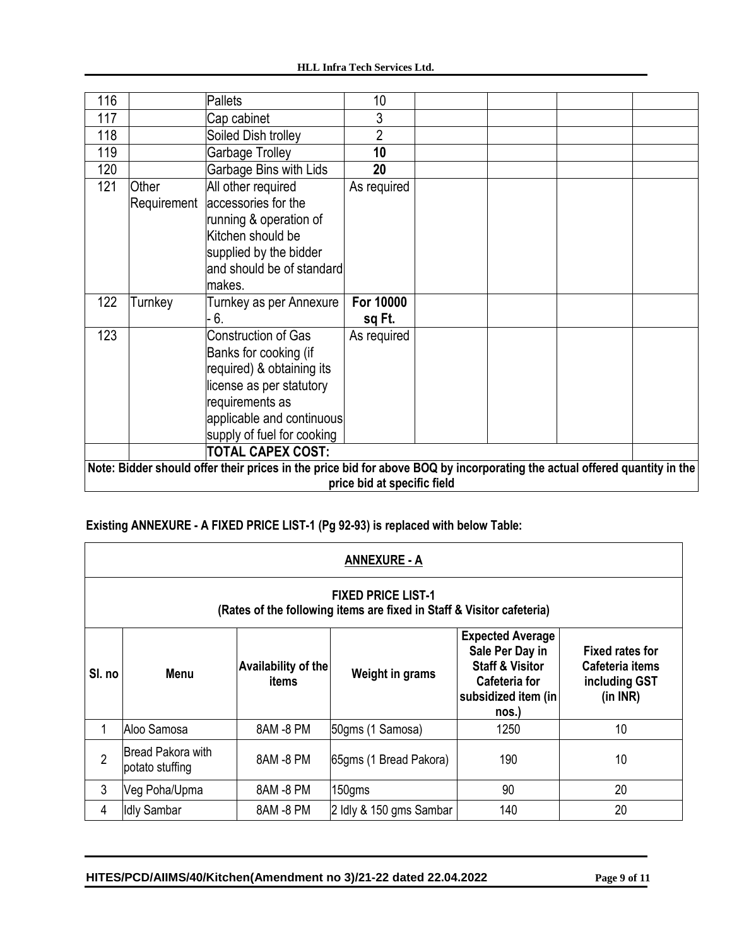#### **HLL Infra Tech Services Ltd.**

| 116 |                                                                                                                                                          | Pallets                                                                                                                                                                                                                | 10                  |  |  |  |  |
|-----|----------------------------------------------------------------------------------------------------------------------------------------------------------|------------------------------------------------------------------------------------------------------------------------------------------------------------------------------------------------------------------------|---------------------|--|--|--|--|
| 117 |                                                                                                                                                          | Cap cabinet                                                                                                                                                                                                            | 3                   |  |  |  |  |
| 118 |                                                                                                                                                          | Soiled Dish trolley                                                                                                                                                                                                    | $\overline{2}$      |  |  |  |  |
| 119 |                                                                                                                                                          | Garbage Trolley                                                                                                                                                                                                        | 10                  |  |  |  |  |
| 120 |                                                                                                                                                          | Garbage Bins with Lids                                                                                                                                                                                                 | 20                  |  |  |  |  |
| 121 | Other<br>Requirement                                                                                                                                     | All other required<br>accessories for the<br>running & operation of<br>Kitchen should be<br>supplied by the bidder<br>and should be of standard<br>lmakes.                                                             | As required         |  |  |  |  |
| 122 | Turnkey                                                                                                                                                  | Turnkey as per Annexure<br>6.                                                                                                                                                                                          | For 10000<br>sq Ft. |  |  |  |  |
| 123 |                                                                                                                                                          | <b>Construction of Gas</b><br>Banks for cooking (if<br>required) & obtaining its<br>license as per statutory<br>requirements as<br>applicable and continuous<br>supply of fuel for cooking<br><b>TOTAL CAPEX COST:</b> | As required         |  |  |  |  |
|     |                                                                                                                                                          |                                                                                                                                                                                                                        |                     |  |  |  |  |
|     | Note: Bidder should offer their prices in the price bid for above BOQ by incorporating the actual offered quantity in the<br>price bid at specific field |                                                                                                                                                                                                                        |                     |  |  |  |  |

# **Existing ANNEXURE - A FIXED PRICE LIST-1 (Pg 92-93) is replaced with below Table:**

|                                                                                                    | <b>ANNEXURE - A</b>                                            |           |                                                                                                                                  |                                                                        |    |  |  |  |  |
|----------------------------------------------------------------------------------------------------|----------------------------------------------------------------|-----------|----------------------------------------------------------------------------------------------------------------------------------|------------------------------------------------------------------------|----|--|--|--|--|
| <b>FIXED PRICE LIST-1</b><br>(Rates of the following items are fixed in Staff & Visitor cafeteria) |                                                                |           |                                                                                                                                  |                                                                        |    |  |  |  |  |
| SI. no                                                                                             | <b>Availability of the</b><br>Weight in grams<br>Menu<br>items |           | <b>Expected Average</b><br>Sale Per Day in<br><b>Staff &amp; Visitor</b><br><b>Cafeteria for</b><br>subsidized item (in<br>nos.) | <b>Fixed rates for</b><br>Cafeteria items<br>including GST<br>(in INR) |    |  |  |  |  |
|                                                                                                    | lAloo Samosa                                                   | 8AM -8 PM | 50gms (1 Samosa)                                                                                                                 | 1250                                                                   | 10 |  |  |  |  |
| $\overline{2}$                                                                                     | <b>Bread Pakora with</b><br>potato stuffing                    | 8AM -8 PM | 65gms (1 Bread Pakora)                                                                                                           | 190                                                                    | 10 |  |  |  |  |
| 3                                                                                                  | Veg Poha/Upma                                                  | 8AM -8 PM | 150gms                                                                                                                           | 90                                                                     | 20 |  |  |  |  |
| 4                                                                                                  | <b>Idly Sambar</b>                                             | 8AM -8 PM | 2 Idly & 150 gms Sambar                                                                                                          | 140                                                                    | 20 |  |  |  |  |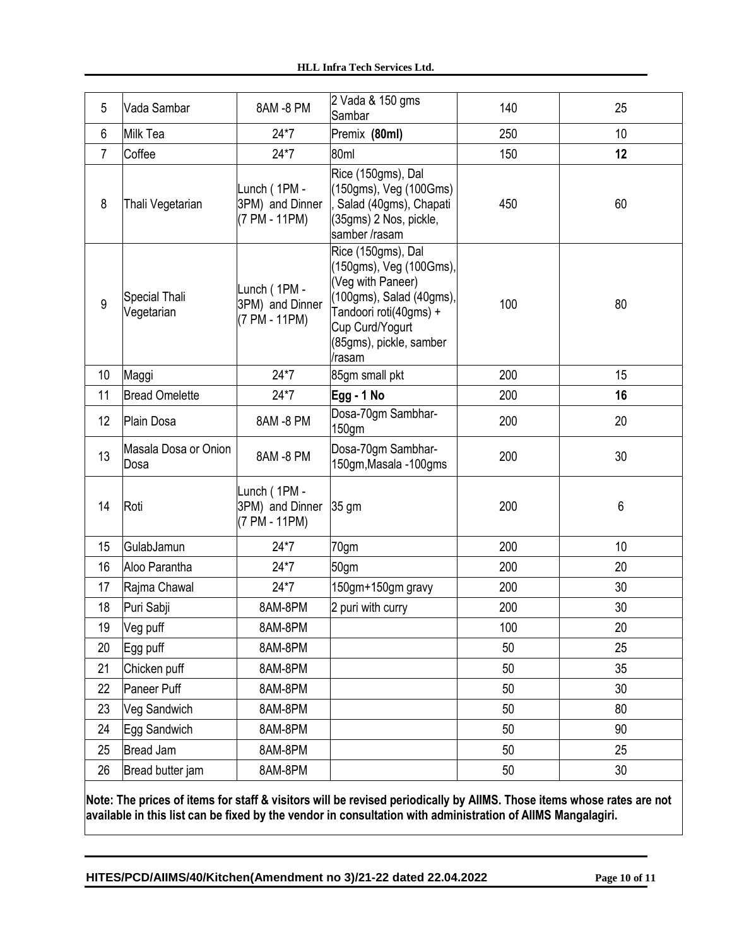| 5              | Vada Sambar                  | 8AM -8 PM                                        | 2 Vada & 150 gms<br>Sambar                                                                                                                                                       | 140 | 25 |
|----------------|------------------------------|--------------------------------------------------|----------------------------------------------------------------------------------------------------------------------------------------------------------------------------------|-----|----|
| 6              | Milk Tea                     | $24*7$                                           | Premix (80ml)                                                                                                                                                                    | 250 | 10 |
| $\overline{7}$ | Coffee                       | $24*7$                                           | 80ml                                                                                                                                                                             | 150 | 12 |
| 8              | Thali Vegetarian             | Lunch (1PM -<br>3PM) and Dinner<br>(7 PM - 11PM) | Rice (150gms), Dal<br>(150gms), Veg (100Gms)<br>Salad (40gms), Chapati<br>(35gms) 2 Nos, pickle,<br>samber/rasam                                                                 | 450 | 60 |
| 9              | Special Thali<br>Vegetarian  | Lunch (1PM -<br>3PM) and Dinner<br>(7 PM - 11PM) | Rice (150gms), Dal<br>(150gms), Veg (100Gms),<br>(Veg with Paneer)<br>(100gms), Salad (40gms),<br>Tandoori roti(40gms) +<br>Cup Curd/Yogurt<br>(85gms), pickle, samber<br>/rasam | 100 | 80 |
| 10             | Maggi                        | $24*7$                                           | 85gm small pkt                                                                                                                                                                   | 200 | 15 |
| 11             | <b>Bread Omelette</b>        | $24*7$                                           | Egg - 1 No                                                                                                                                                                       | 200 | 16 |
| 12             | Plain Dosa                   | 8AM -8 PM                                        | Dosa-70gm Sambhar-<br>150gm                                                                                                                                                      | 200 | 20 |
| 13             | Masala Dosa or Onion<br>Dosa | 8AM-8 PM                                         | Dosa-70gm Sambhar-<br>150gm, Masala - 100gms                                                                                                                                     | 200 | 30 |
| 14             | Roti                         | Lunch (1PM -<br>3PM) and Dinner<br>(7 PM - 11PM) | 35 gm                                                                                                                                                                            | 200 | 6  |
| 15             | GulabJamun                   | $24*7$                                           | 70gm                                                                                                                                                                             | 200 | 10 |
| 16             | Aloo Parantha                | $24*7$                                           | 50gm                                                                                                                                                                             | 200 | 20 |
| 17             | Rajma Chawal                 | $24*7$                                           | 150gm+150gm gravy                                                                                                                                                                | 200 | 30 |
| 18             | Puri Sabji                   | 8AM-8PM                                          | 2 puri with curry                                                                                                                                                                | 200 | 30 |
| 19             | Veg puff                     | 8AM-8PM                                          |                                                                                                                                                                                  | 100 | 20 |
| 20             | Egg puff                     | 8AM-8PM                                          |                                                                                                                                                                                  | 50  | 25 |
| 21             | Chicken puff                 | 8AM-8PM                                          |                                                                                                                                                                                  | 50  | 35 |
| 22             | Paneer Puff                  | 8AM-8PM                                          |                                                                                                                                                                                  | 50  | 30 |
| 23             | Veg Sandwich                 | 8AM-8PM                                          |                                                                                                                                                                                  | 50  | 80 |
| 24             | Egg Sandwich                 | 8AM-8PM                                          |                                                                                                                                                                                  | 50  | 90 |
| 25             | <b>Bread Jam</b>             | 8AM-8PM                                          |                                                                                                                                                                                  | 50  | 25 |
| 26             | Bread butter jam             | 8AM-8PM                                          |                                                                                                                                                                                  | 50  | 30 |

**Note: The prices of items for staff & visitors will be revised periodically by AIIMS. Those items whose rates are not available in this list can be fixed by the vendor in consultation with administration of AIIMS Mangalagiri.**